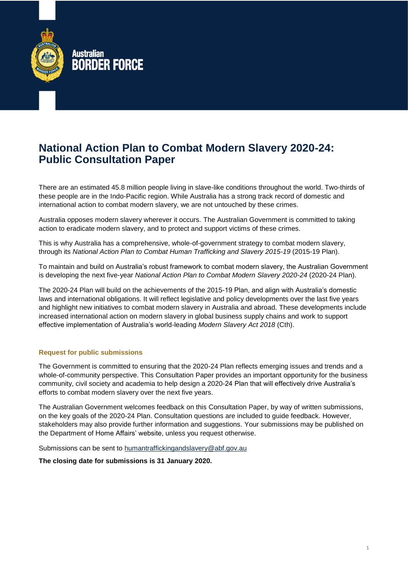

# **National Action Plan to Combat Modern Slavery 2020-24: Public Consultation Paper**

There are an estimated 45.8 million people living in slave-like conditions throughout the world. Two-thirds of these people are in the Indo-Pacific region. While Australia has a strong track record of domestic and international action to combat modern slavery, we are not untouched by these crimes.

Australia opposes modern slavery wherever it occurs. The Australian Government is committed to taking action to eradicate modern slavery, and to protect and support victims of these crimes.

This is why Australia has a comprehensive, whole-of-government strategy to combat modern slavery, through its *National Action Plan to Combat Human Trafficking and Slavery 2015-19* (2015-19 Plan).

To maintain and build on Australia's robust framework to combat modern slavery, the Australian Government is developing the next five-year *National Action Plan to Combat Modern Slavery 2020-24* (2020-24 Plan).

The 2020-24 Plan will build on the achievements of the 2015-19 Plan, and align with Australia's domestic laws and international obligations. It will reflect legislative and policy developments over the last five years and highlight new initiatives to combat modern slavery in Australia and abroad. These developments include increased international action on modern slavery in global business supply chains and work to support effective implementation of Australia's world-leading *Modern Slavery Act 2018* (Cth).

### **Request for public submissions**

The Government is committed to ensuring that the 2020-24 Plan reflects emerging issues and trends and a whole-of-community perspective. This Consultation Paper provides an important opportunity for the business community, civil society and academia to help design a 2020-24 Plan that will effectively drive Australia's efforts to combat modern slavery over the next five years.

The Australian Government welcomes feedback on this Consultation Paper, by way of written submissions, on the key goals of the 2020-24 Plan. Consultation questions are included to guide feedback. However, stakeholders may also provide further information and suggestions. Your submissions may be published on the Department of Home Affairs' website, unless you request otherwise.

Submissions can be sent to [humantraffickingandslavery@abf.gov.au](mailto:humantraffickingandslavery@abf.gov.au)

**The closing date for submissions is 31 January 2020.**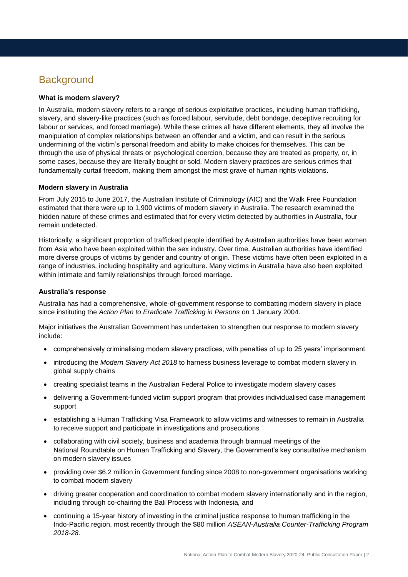# **Background**

### **What is modern slavery?**

In Australia, modern slavery refers to a range of serious exploitative practices, including human trafficking, slavery, and slavery-like practices (such as forced labour, servitude, debt bondage, deceptive recruiting for labour or services, and forced marriage). While these crimes all have different elements, they all involve the manipulation of complex relationships between an offender and a victim, and can result in the serious undermining of the victim's personal freedom and ability to make choices for themselves. This can be through the use of physical threats or psychological coercion, because they are treated as property, or, in some cases, because they are literally bought or sold. Modern slavery practices are serious crimes that fundamentally curtail freedom, making them amongst the most grave of human rights violations.

#### **Modern slavery in Australia**

From July 2015 to June 2017, the Australian Institute of Criminology (AIC) and the Walk Free Foundation estimated that there were up to 1,900 victims of modern slavery in Australia. The research examined the hidden nature of these crimes and estimated that for every victim detected by authorities in Australia, four remain undetected.

Historically, a significant proportion of trafficked people identified by Australian authorities have been women from Asia who have been exploited within the sex industry. Over time, Australian authorities have identified more diverse groups of victims by gender and country of origin. These victims have often been exploited in a range of industries, including hospitality and agriculture. Many victims in Australia have also been exploited within intimate and family relationships through forced marriage.

#### **Australia's response**

Australia has had a comprehensive, whole-of-government response to combatting modern slavery in place since instituting the *Action Plan to Eradicate Trafficking in Persons* on 1 January 2004.

Major initiatives the Australian Government has undertaken to strengthen our response to modern slavery include:

- comprehensively criminalising modern slavery practices, with penalties of up to 25 years' imprisonment
- introducing the *Modern Slavery Act 2018* to harness business leverage to combat modern slavery in global supply chains
- creating specialist teams in the Australian Federal Police to investigate modern slavery cases
- delivering a Government-funded victim support program that provides individualised case management support
- establishing a Human Trafficking Visa Framework to allow victims and witnesses to remain in Australia to receive support and participate in investigations and prosecutions
- collaborating with civil society, business and academia through biannual meetings of the National Roundtable on Human Trafficking and Slavery, the Government's key consultative mechanism on modern slavery issues
- providing over \$6.2 million in Government funding since 2008 to non-government organisations working to combat modern slavery
- driving greater cooperation and coordination to combat modern slavery internationally and in the region, including through co-chairing the Bali Process with Indonesia*,* and
- continuing a 15-year history of investing in the criminal justice response to human trafficking in the Indo-Pacific region, most recently through the \$80 million *ASEAN-Australia Counter-Trafficking Program 2018-28.*